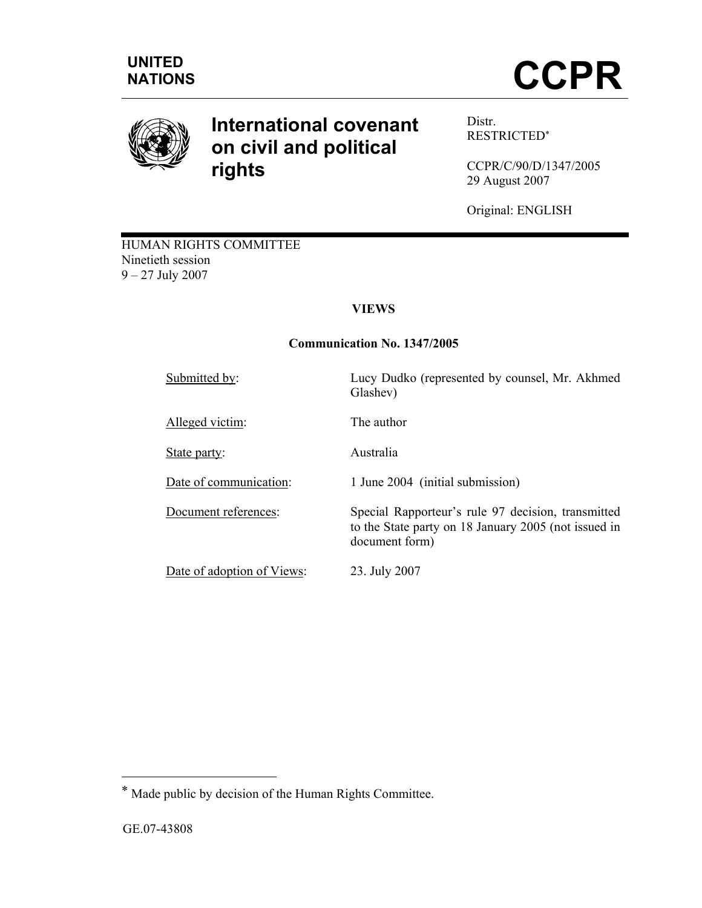



# **International covenant on civil and political rights**

Distr. RESTRICTED\*

CCPR/C/90/D/1347/2005 29 August 2007

Original: ENGLISH

HUMAN RIGHTS COMMITTEE Ninetieth session 9 – 27 July 2007

## **VIEWS**

## **Communication No. 1347/2005**

Submitted by: Lucy Dudko (represented by counsel, Mr. Akhmed Glashev) Alleged victim: The author State party: Australia Date of communication: 1 June 2004 (initial submission) Document references: Special Rapporteur's rule 97 decision, transmitted to the State party on 18 January 2005 (not issued in document form) Date of adoption of Views: 23. July 2007

 $\overline{a}$ 

<sup>\*</sup> Made public by decision of the Human Rights Committee.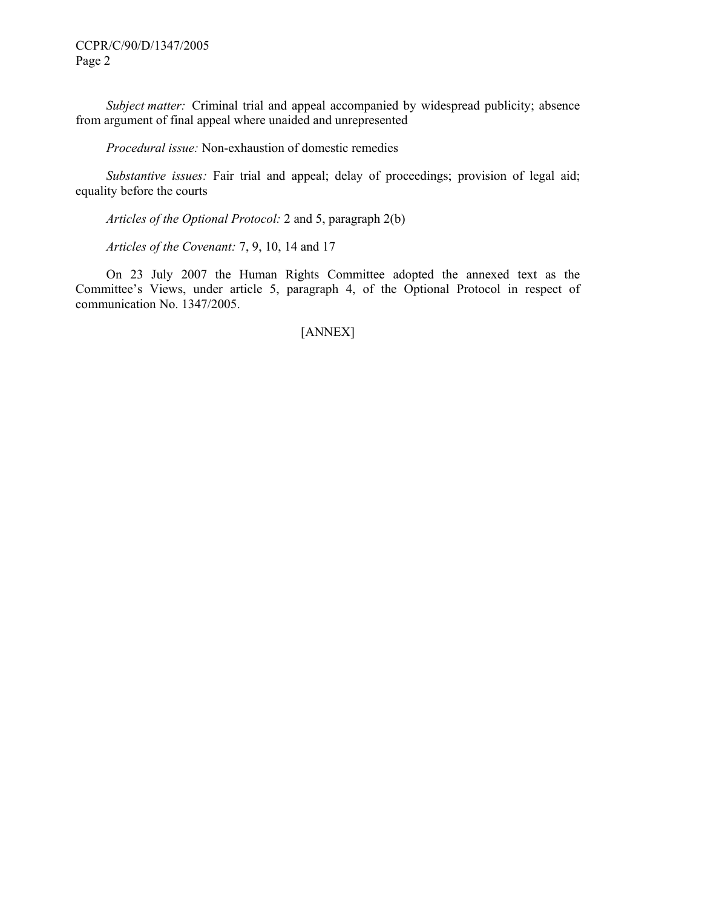CCPR/C/90/D/1347/2005 Page 2

 *Subject matter:* Criminal trial and appeal accompanied by widespread publicity; absence from argument of final appeal where unaided and unrepresented

 *Procedural issue:* Non-exhaustion of domestic remedies

 *Substantive issues:* Fair trial and appeal; delay of proceedings; provision of legal aid; equality before the courts

 *Articles of the Optional Protocol:* 2 and 5, paragraph 2(b)

 *Articles of the Covenant:* 7, 9, 10, 14 and 17

 On 23 July 2007 the Human Rights Committee adopted the annexed text as the Committee's Views, under article 5, paragraph 4, of the Optional Protocol in respect of communication No. 1347/2005.

[ANNEX]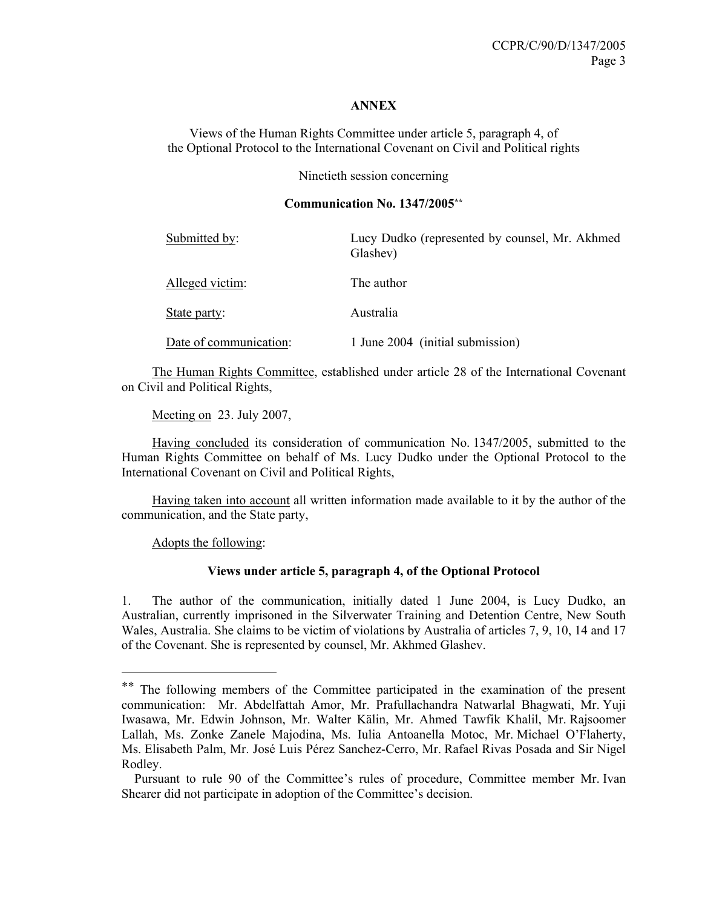#### **ANNEX**

Views of the Human Rights Committee under article 5, paragraph 4, of the Optional Protocol to the International Covenant on Civil and Political rights

Ninetieth session concerning

#### **Communication No. 1347/2005\*\***

| Submitted by:          | Lucy Dudko (represented by counsel, Mr. Akhmed<br>Glashev) |
|------------------------|------------------------------------------------------------|
| Alleged victim:        | The author                                                 |
| State party:           | Australia                                                  |
| Date of communication: | 1 June 2004 (initial submission)                           |

 The Human Rights Committee, established under article 28 of the International Covenant on Civil and Political Rights,

Meeting on 23. July 2007,

 Having concluded its consideration of communication No. 1347/2005, submitted to the Human Rights Committee on behalf of Ms. Lucy Dudko under the Optional Protocol to the International Covenant on Civil and Political Rights,

 Having taken into account all written information made available to it by the author of the communication, and the State party,

Adopts the following:

 $\overline{a}$ 

#### **Views under article 5, paragraph 4, of the Optional Protocol**

1. The author of the communication, initially dated 1 June 2004, is Lucy Dudko, an Australian, currently imprisoned in the Silverwater Training and Detention Centre, New South Wales, Australia. She claims to be victim of violations by Australia of articles 7, 9, 10, 14 and 17 of the Covenant. She is represented by counsel, Mr. Akhmed Glashev.

<sup>\*\*</sup> The following members of the Committee participated in the examination of the present communication: Mr. Abdelfattah Amor, Mr. Prafullachandra Natwarlal Bhagwati, Mr. Yuji Iwasawa, Mr. Edwin Johnson, Mr. Walter Kälin, Mr. Ahmed Tawfik Khalil, Mr. Rajsoomer Lallah, Ms. Zonke Zanele Majodina, Ms. Iulia Antoanella Motoc, Mr. Michael O'Flaherty, Ms. Elisabeth Palm, Mr. José Luis Pérez Sanchez-Cerro, Mr. Rafael Rivas Posada and Sir Nigel Rodley.

Pursuant to rule 90 of the Committee's rules of procedure, Committee member Mr. Ivan Shearer did not participate in adoption of the Committee's decision.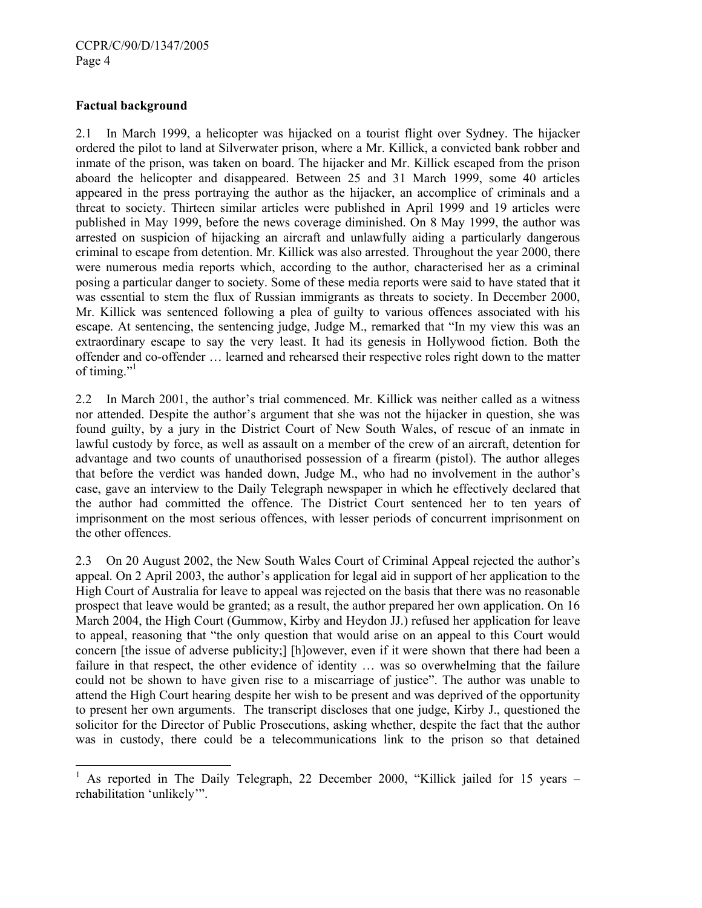## **Factual background**

2.1 In March 1999, a helicopter was hijacked on a tourist flight over Sydney. The hijacker ordered the pilot to land at Silverwater prison, where a Mr. Killick, a convicted bank robber and inmate of the prison, was taken on board. The hijacker and Mr. Killick escaped from the prison aboard the helicopter and disappeared. Between 25 and 31 March 1999, some 40 articles appeared in the press portraying the author as the hijacker, an accomplice of criminals and a threat to society. Thirteen similar articles were published in April 1999 and 19 articles were published in May 1999, before the news coverage diminished. On 8 May 1999, the author was arrested on suspicion of hijacking an aircraft and unlawfully aiding a particularly dangerous criminal to escape from detention. Mr. Killick was also arrested. Throughout the year 2000, there were numerous media reports which, according to the author, characterised her as a criminal posing a particular danger to society. Some of these media reports were said to have stated that it was essential to stem the flux of Russian immigrants as threats to society. In December 2000, Mr. Killick was sentenced following a plea of guilty to various offences associated with his escape. At sentencing, the sentencing judge, Judge M., remarked that "In my view this was an extraordinary escape to say the very least. It had its genesis in Hollywood fiction. Both the offender and co-offender … learned and rehearsed their respective roles right down to the matter of timing."

2.2 In March 2001, the author's trial commenced. Mr. Killick was neither called as a witness nor attended. Despite the author's argument that she was not the hijacker in question, she was found guilty, by a jury in the District Court of New South Wales, of rescue of an inmate in lawful custody by force, as well as assault on a member of the crew of an aircraft, detention for advantage and two counts of unauthorised possession of a firearm (pistol). The author alleges that before the verdict was handed down, Judge M., who had no involvement in the author's case, gave an interview to the Daily Telegraph newspaper in which he effectively declared that the author had committed the offence. The District Court sentenced her to ten years of imprisonment on the most serious offences, with lesser periods of concurrent imprisonment on the other offences.

2.3 On 20 August 2002, the New South Wales Court of Criminal Appeal rejected the author's appeal. On 2 April 2003, the author's application for legal aid in support of her application to the High Court of Australia for leave to appeal was rejected on the basis that there was no reasonable prospect that leave would be granted; as a result, the author prepared her own application. On 16 March 2004, the High Court (Gummow, Kirby and Heydon JJ.) refused her application for leave to appeal, reasoning that "the only question that would arise on an appeal to this Court would concern [the issue of adverse publicity;] [h]owever, even if it were shown that there had been a failure in that respect, the other evidence of identity … was so overwhelming that the failure could not be shown to have given rise to a miscarriage of justice". The author was unable to attend the High Court hearing despite her wish to be present and was deprived of the opportunity to present her own arguments. The transcript discloses that one judge, Kirby J., questioned the solicitor for the Director of Public Prosecutions, asking whether, despite the fact that the author was in custody, there could be a telecommunications link to the prison so that detained

<sup>&</sup>lt;sup>1</sup> As reported in The Daily Telegraph, 22 December 2000, "Killick jailed for 15 years – rehabilitation 'unlikely'".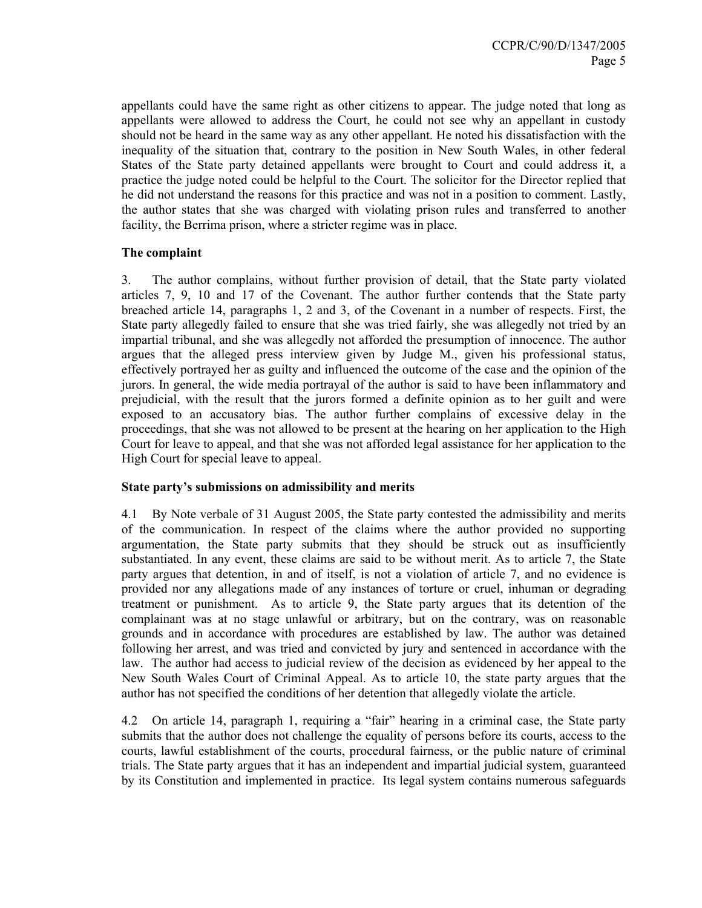appellants could have the same right as other citizens to appear. The judge noted that long as appellants were allowed to address the Court, he could not see why an appellant in custody should not be heard in the same way as any other appellant. He noted his dissatisfaction with the inequality of the situation that, contrary to the position in New South Wales, in other federal States of the State party detained appellants were brought to Court and could address it, a practice the judge noted could be helpful to the Court. The solicitor for the Director replied that he did not understand the reasons for this practice and was not in a position to comment. Lastly, the author states that she was charged with violating prison rules and transferred to another facility, the Berrima prison, where a stricter regime was in place.

## **The complaint**

3. The author complains, without further provision of detail, that the State party violated articles 7, 9, 10 and 17 of the Covenant. The author further contends that the State party breached article 14, paragraphs 1, 2 and 3, of the Covenant in a number of respects. First, the State party allegedly failed to ensure that she was tried fairly, she was allegedly not tried by an impartial tribunal, and she was allegedly not afforded the presumption of innocence. The author argues that the alleged press interview given by Judge M., given his professional status, effectively portrayed her as guilty and influenced the outcome of the case and the opinion of the jurors. In general, the wide media portrayal of the author is said to have been inflammatory and prejudicial, with the result that the jurors formed a definite opinion as to her guilt and were exposed to an accusatory bias. The author further complains of excessive delay in the proceedings, that she was not allowed to be present at the hearing on her application to the High Court for leave to appeal, and that she was not afforded legal assistance for her application to the High Court for special leave to appeal.

#### **State party's submissions on admissibility and merits**

4.1 By Note verbale of 31 August 2005, the State party contested the admissibility and merits of the communication. In respect of the claims where the author provided no supporting argumentation, the State party submits that they should be struck out as insufficiently substantiated. In any event, these claims are said to be without merit. As to article 7, the State party argues that detention, in and of itself, is not a violation of article 7, and no evidence is provided nor any allegations made of any instances of torture or cruel, inhuman or degrading treatment or punishment. As to article 9, the State party argues that its detention of the complainant was at no stage unlawful or arbitrary, but on the contrary, was on reasonable grounds and in accordance with procedures are established by law. The author was detained following her arrest, and was tried and convicted by jury and sentenced in accordance with the law. The author had access to judicial review of the decision as evidenced by her appeal to the New South Wales Court of Criminal Appeal. As to article 10, the state party argues that the author has not specified the conditions of her detention that allegedly violate the article.

4.2 On article 14, paragraph 1, requiring a "fair" hearing in a criminal case, the State party submits that the author does not challenge the equality of persons before its courts, access to the courts, lawful establishment of the courts, procedural fairness, or the public nature of criminal trials. The State party argues that it has an independent and impartial judicial system, guaranteed by its Constitution and implemented in practice. Its legal system contains numerous safeguards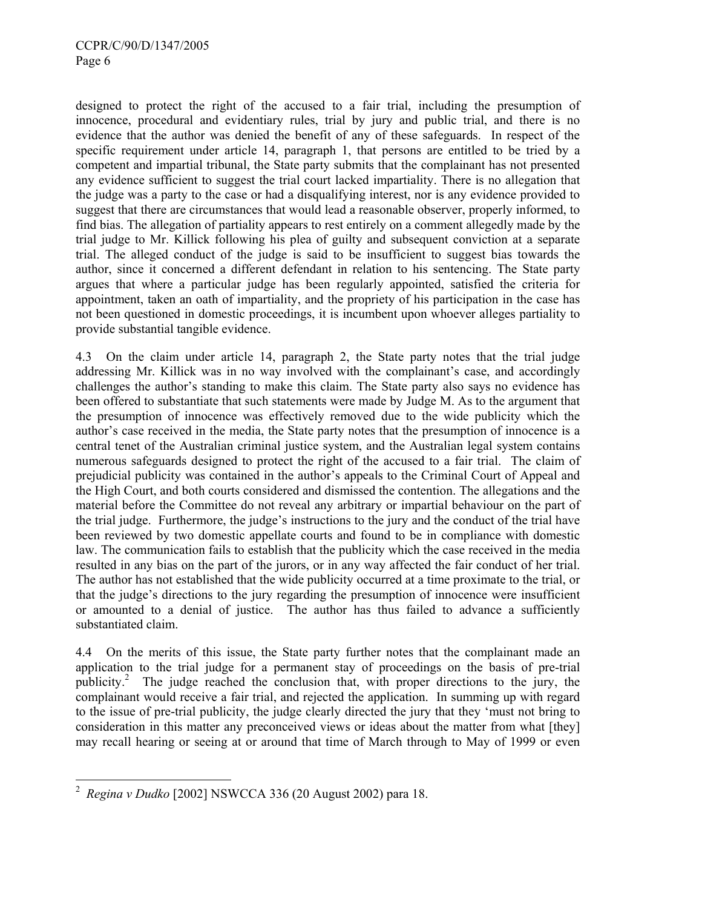designed to protect the right of the accused to a fair trial, including the presumption of innocence, procedural and evidentiary rules, trial by jury and public trial, and there is no evidence that the author was denied the benefit of any of these safeguards. In respect of the specific requirement under article 14, paragraph 1, that persons are entitled to be tried by a competent and impartial tribunal, the State party submits that the complainant has not presented any evidence sufficient to suggest the trial court lacked impartiality. There is no allegation that the judge was a party to the case or had a disqualifying interest, nor is any evidence provided to suggest that there are circumstances that would lead a reasonable observer, properly informed, to find bias. The allegation of partiality appears to rest entirely on a comment allegedly made by the trial judge to Mr. Killick following his plea of guilty and subsequent conviction at a separate trial. The alleged conduct of the judge is said to be insufficient to suggest bias towards the author, since it concerned a different defendant in relation to his sentencing. The State party argues that where a particular judge has been regularly appointed, satisfied the criteria for appointment, taken an oath of impartiality, and the propriety of his participation in the case has not been questioned in domestic proceedings, it is incumbent upon whoever alleges partiality to provide substantial tangible evidence.

4.3 On the claim under article 14, paragraph 2, the State party notes that the trial judge addressing Mr. Killick was in no way involved with the complainant's case, and accordingly challenges the author's standing to make this claim. The State party also says no evidence has been offered to substantiate that such statements were made by Judge M. As to the argument that the presumption of innocence was effectively removed due to the wide publicity which the author's case received in the media, the State party notes that the presumption of innocence is a central tenet of the Australian criminal justice system, and the Australian legal system contains numerous safeguards designed to protect the right of the accused to a fair trial. The claim of prejudicial publicity was contained in the author's appeals to the Criminal Court of Appeal and the High Court, and both courts considered and dismissed the contention. The allegations and the material before the Committee do not reveal any arbitrary or impartial behaviour on the part of the trial judge. Furthermore, the judge's instructions to the jury and the conduct of the trial have been reviewed by two domestic appellate courts and found to be in compliance with domestic law. The communication fails to establish that the publicity which the case received in the media resulted in any bias on the part of the jurors, or in any way affected the fair conduct of her trial. The author has not established that the wide publicity occurred at a time proximate to the trial, or that the judge's directions to the jury regarding the presumption of innocence were insufficient or amounted to a denial of justice. The author has thus failed to advance a sufficiently substantiated claim.

4.4 On the merits of this issue, the State party further notes that the complainant made an application to the trial judge for a permanent stay of proceedings on the basis of pre-trial publicity.<sup>2</sup> The judge reached the conclusion that, with proper directions to the jury, the complainant would receive a fair trial, and rejected the application. In summing up with regard to the issue of pre-trial publicity, the judge clearly directed the jury that they 'must not bring to consideration in this matter any preconceived views or ideas about the matter from what [they] may recall hearing or seeing at or around that time of March through to May of 1999 or even

 2 *Regina v Dudko* [2002] NSWCCA 336 (20 August 2002) para 18.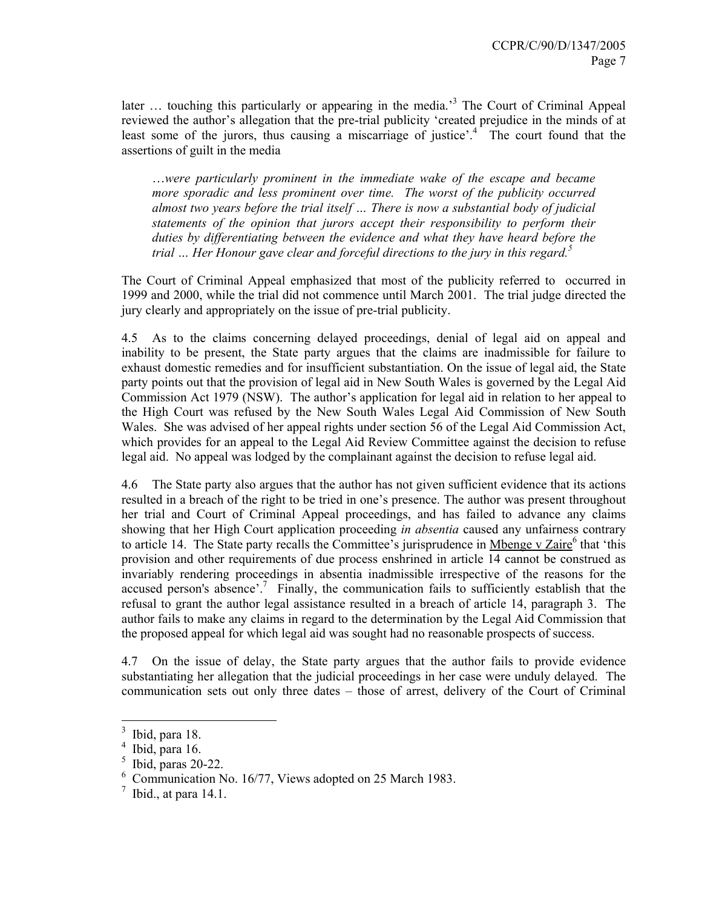later  $\ldots$  touching this particularly or appearing in the media.<sup>3</sup> The Court of Criminal Appeal reviewed the author's allegation that the pre-trial publicity 'created prejudice in the minds of at least some of the jurors, thus causing a miscarriage of justice'.<sup>4</sup> The court found that the assertions of guilt in the media

…*were particularly prominent in the immediate wake of the escape and became more sporadic and less prominent over time. The worst of the publicity occurred almost two years before the trial itself … There is now a substantial body of judicial statements of the opinion that jurors accept their responsibility to perform their duties by differentiating between the evidence and what they have heard before the trial … Her Honour gave clear and forceful directions to the jury in this regard.5*

The Court of Criminal Appeal emphasized that most of the publicity referred to occurred in 1999 and 2000, while the trial did not commence until March 2001. The trial judge directed the jury clearly and appropriately on the issue of pre-trial publicity.

4.5 As to the claims concerning delayed proceedings, denial of legal aid on appeal and inability to be present, the State party argues that the claims are inadmissible for failure to exhaust domestic remedies and for insufficient substantiation. On the issue of legal aid, the State party points out that the provision of legal aid in New South Wales is governed by the Legal Aid Commission Act 1979 (NSW). The author's application for legal aid in relation to her appeal to the High Court was refused by the New South Wales Legal Aid Commission of New South Wales. She was advised of her appeal rights under section 56 of the Legal Aid Commission Act, which provides for an appeal to the Legal Aid Review Committee against the decision to refuse legal aid. No appeal was lodged by the complainant against the decision to refuse legal aid.

4.6 The State party also argues that the author has not given sufficient evidence that its actions resulted in a breach of the right to be tried in one's presence. The author was present throughout her trial and Court of Criminal Appeal proceedings, and has failed to advance any claims showing that her High Court application proceeding *in absentia* caused any unfairness contrary to article 14. The State party recalls the Committee's jurisprudence in Mbenge v Zaire<sup>6</sup> that 'this provision and other requirements of due process enshrined in article 14 cannot be construed as invariably rendering proceedings in absentia inadmissible irrespective of the reasons for the accused person's absence'.<sup>7</sup> Finally, the communication fails to sufficiently establish that the refusal to grant the author legal assistance resulted in a breach of article 14, paragraph 3. The author fails to make any claims in regard to the determination by the Legal Aid Commission that the proposed appeal for which legal aid was sought had no reasonable prospects of success.

4.7 On the issue of delay, the State party argues that the author fails to provide evidence substantiating her allegation that the judicial proceedings in her case were unduly delayed. The communication sets out only three dates – those of arrest, delivery of the Court of Criminal

 3 Ibid, para 18.

 $<sup>4</sup>$  Ibid, para 16.</sup>

 $<sup>5</sup>$  Ibid, paras 20-22.</sup>

<sup>6</sup> Communication No. 16/77, Views adopted on 25 March 1983.

 $^7$  Ibid., at para 14.1.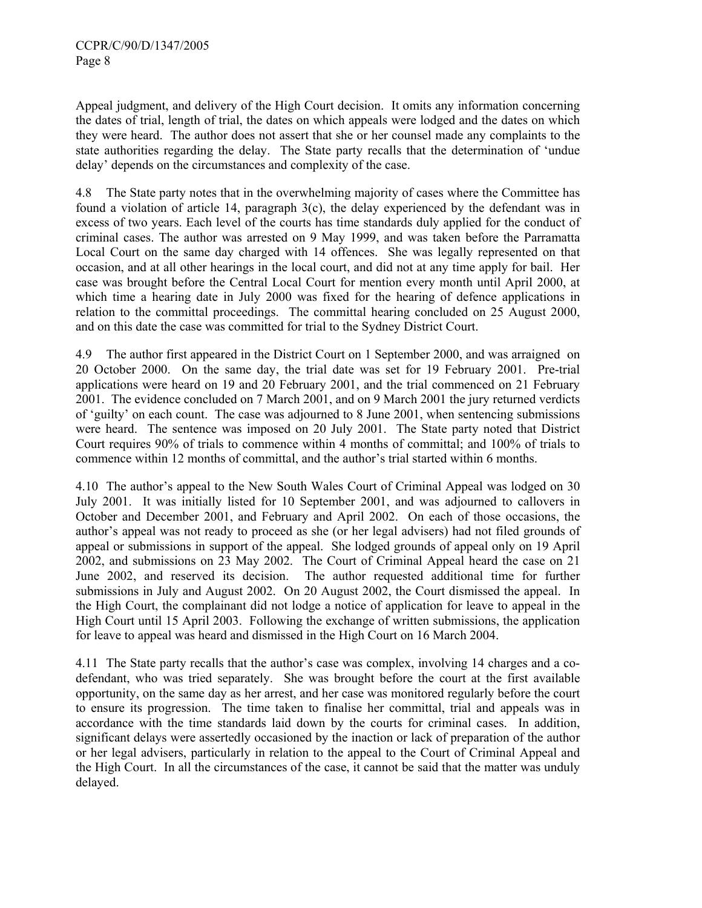Appeal judgment, and delivery of the High Court decision. It omits any information concerning the dates of trial, length of trial, the dates on which appeals were lodged and the dates on which they were heard. The author does not assert that she or her counsel made any complaints to the state authorities regarding the delay. The State party recalls that the determination of 'undue delay' depends on the circumstances and complexity of the case.

4.8 The State party notes that in the overwhelming majority of cases where the Committee has found a violation of article 14, paragraph 3(c), the delay experienced by the defendant was in excess of two years. Each level of the courts has time standards duly applied for the conduct of criminal cases. The author was arrested on 9 May 1999, and was taken before the Parramatta Local Court on the same day charged with 14 offences. She was legally represented on that occasion, and at all other hearings in the local court, and did not at any time apply for bail. Her case was brought before the Central Local Court for mention every month until April 2000, at which time a hearing date in July 2000 was fixed for the hearing of defence applications in relation to the committal proceedings. The committal hearing concluded on 25 August 2000, and on this date the case was committed for trial to the Sydney District Court.

4.9 The author first appeared in the District Court on 1 September 2000, and was arraigned on 20 October 2000. On the same day, the trial date was set for 19 February 2001. Pre-trial applications were heard on 19 and 20 February 2001, and the trial commenced on 21 February 2001. The evidence concluded on 7 March 2001, and on 9 March 2001 the jury returned verdicts of 'guilty' on each count. The case was adjourned to 8 June 2001, when sentencing submissions were heard. The sentence was imposed on 20 July 2001. The State party noted that District Court requires 90% of trials to commence within 4 months of committal; and 100% of trials to commence within 12 months of committal, and the author's trial started within 6 months.

4.10 The author's appeal to the New South Wales Court of Criminal Appeal was lodged on 30 July 2001. It was initially listed for 10 September 2001, and was adjourned to callovers in October and December 2001, and February and April 2002. On each of those occasions, the author's appeal was not ready to proceed as she (or her legal advisers) had not filed grounds of appeal or submissions in support of the appeal. She lodged grounds of appeal only on 19 April 2002, and submissions on 23 May 2002. The Court of Criminal Appeal heard the case on 21 June 2002, and reserved its decision. The author requested additional time for further submissions in July and August 2002. On 20 August 2002, the Court dismissed the appeal. In the High Court, the complainant did not lodge a notice of application for leave to appeal in the High Court until 15 April 2003. Following the exchange of written submissions, the application for leave to appeal was heard and dismissed in the High Court on 16 March 2004.

4.11 The State party recalls that the author's case was complex, involving 14 charges and a codefendant, who was tried separately. She was brought before the court at the first available opportunity, on the same day as her arrest, and her case was monitored regularly before the court to ensure its progression. The time taken to finalise her committal, trial and appeals was in accordance with the time standards laid down by the courts for criminal cases. In addition, significant delays were assertedly occasioned by the inaction or lack of preparation of the author or her legal advisers, particularly in relation to the appeal to the Court of Criminal Appeal and the High Court. In all the circumstances of the case, it cannot be said that the matter was unduly delayed.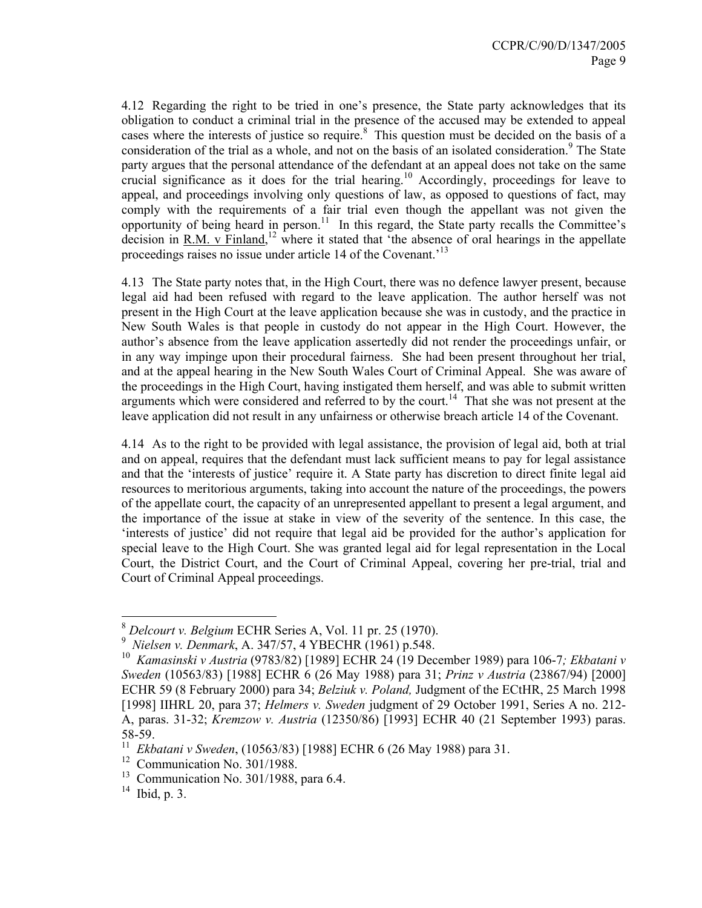4.12 Regarding the right to be tried in one's presence, the State party acknowledges that its obligation to conduct a criminal trial in the presence of the accused may be extended to appeal cases where the interests of justice so require.<sup>8</sup> This question must be decided on the basis of a consideration of the trial as a whole, and not on the basis of an isolated consideration.<sup>9</sup> The State party argues that the personal attendance of the defendant at an appeal does not take on the same crucial significance as it does for the trial hearing.<sup>10</sup> Accordingly, proceedings for leave to appeal, and proceedings involving only questions of law, as opposed to questions of fact, may comply with the requirements of a fair trial even though the appellant was not given the opportunity of being heard in person.<sup>11</sup> In this regard, the State party recalls the Committee's decision in R.M. v Finland,<sup>12</sup> where it stated that 'the absence of oral hearings in the appellate proceedings raises no issue under article 14 of the Covenant.<sup>13</sup>

4.13 The State party notes that, in the High Court, there was no defence lawyer present, because legal aid had been refused with regard to the leave application. The author herself was not present in the High Court at the leave application because she was in custody, and the practice in New South Wales is that people in custody do not appear in the High Court. However, the author's absence from the leave application assertedly did not render the proceedings unfair, or in any way impinge upon their procedural fairness. She had been present throughout her trial, and at the appeal hearing in the New South Wales Court of Criminal Appeal. She was aware of the proceedings in the High Court, having instigated them herself, and was able to submit written arguments which were considered and referred to by the court.<sup>14</sup> That she was not present at the leave application did not result in any unfairness or otherwise breach article 14 of the Covenant.

4.14 As to the right to be provided with legal assistance, the provision of legal aid, both at trial and on appeal, requires that the defendant must lack sufficient means to pay for legal assistance and that the 'interests of justice' require it. A State party has discretion to direct finite legal aid resources to meritorious arguments, taking into account the nature of the proceedings, the powers of the appellate court, the capacity of an unrepresented appellant to present a legal argument, and the importance of the issue at stake in view of the severity of the sentence. In this case, the 'interests of justice' did not require that legal aid be provided for the author's application for special leave to the High Court. She was granted legal aid for legal representation in the Local Court, the District Court, and the Court of Criminal Appeal, covering her pre-trial, trial and Court of Criminal Appeal proceedings.

 $\overline{a}$ 

<sup>8</sup>  *Delcourt v. Belgium* ECHR Series A, Vol. 11 pr. 25 (1970).

<sup>9</sup> *Nielsen v. Denmark*, A. 347/57, 4 YBECHR (1961) p.548.

<sup>10</sup> *Kamasinski v Austria* (9783/82) [1989] ECHR 24 (19 December 1989) para 106-7*; Ekbatani v Sweden* (10563/83) [1988] ECHR 6 (26 May 1988) para 31; *Prinz v Austria* (23867/94) [2000] ECHR 59 (8 February 2000) para 34; *Belziuk v. Poland,* Judgment of the ECtHR, 25 March 1998 [1998] IIHRL 20, para 37; *Helmers v. Sweden* judgment of 29 October 1991, Series A no. 212- A, paras. 31-32; *Kremzow v. Austria* (12350/86) [1993] ECHR 40 (21 September 1993) paras. 58-59.

<sup>11</sup> *Ekbatani v Sweden*, (10563/83) [1988] ECHR 6 (26 May 1988) para 31.

<sup>&</sup>lt;sup>12</sup> Communication No. 301/1988.

 $13$  Communication No. 301/1988, para 6.4.

<sup>14</sup> Ibid, p. 3.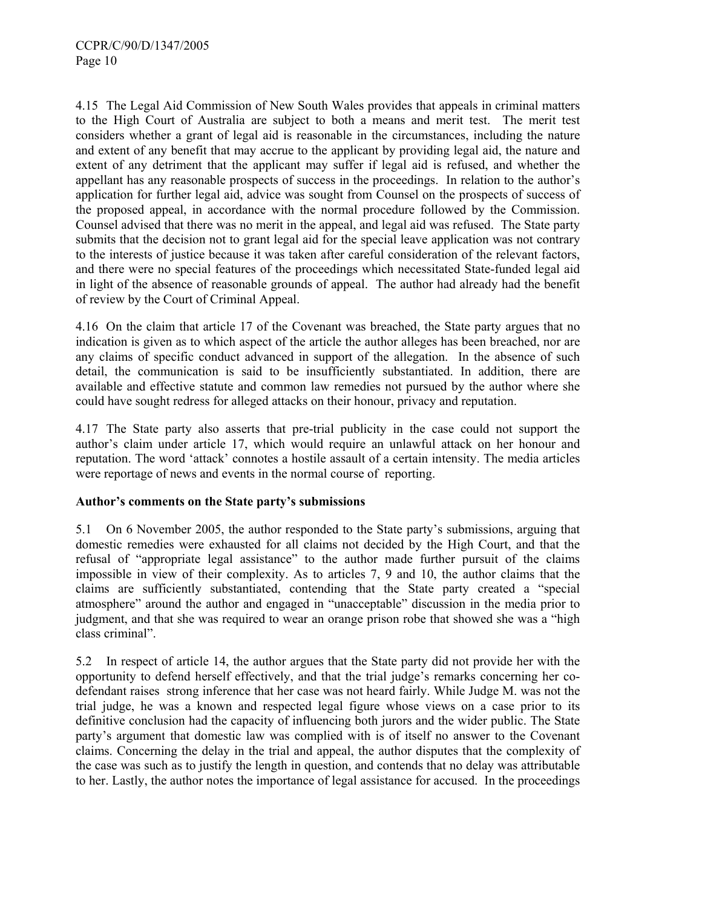4.15 The Legal Aid Commission of New South Wales provides that appeals in criminal matters to the High Court of Australia are subject to both a means and merit test. The merit test considers whether a grant of legal aid is reasonable in the circumstances, including the nature and extent of any benefit that may accrue to the applicant by providing legal aid, the nature and extent of any detriment that the applicant may suffer if legal aid is refused, and whether the appellant has any reasonable prospects of success in the proceedings. In relation to the author's application for further legal aid, advice was sought from Counsel on the prospects of success of the proposed appeal, in accordance with the normal procedure followed by the Commission. Counsel advised that there was no merit in the appeal, and legal aid was refused. The State party submits that the decision not to grant legal aid for the special leave application was not contrary to the interests of justice because it was taken after careful consideration of the relevant factors, and there were no special features of the proceedings which necessitated State-funded legal aid in light of the absence of reasonable grounds of appeal. The author had already had the benefit of review by the Court of Criminal Appeal.

4.16 On the claim that article 17 of the Covenant was breached, the State party argues that no indication is given as to which aspect of the article the author alleges has been breached, nor are any claims of specific conduct advanced in support of the allegation. In the absence of such detail, the communication is said to be insufficiently substantiated. In addition, there are available and effective statute and common law remedies not pursued by the author where she could have sought redress for alleged attacks on their honour, privacy and reputation.

4.17 The State party also asserts that pre-trial publicity in the case could not support the author's claim under article 17, which would require an unlawful attack on her honour and reputation. The word 'attack' connotes a hostile assault of a certain intensity. The media articles were reportage of news and events in the normal course of reporting.

## **Author's comments on the State party's submissions**

5.1 On 6 November 2005, the author responded to the State party's submissions, arguing that domestic remedies were exhausted for all claims not decided by the High Court, and that the refusal of "appropriate legal assistance" to the author made further pursuit of the claims impossible in view of their complexity. As to articles 7, 9 and 10, the author claims that the claims are sufficiently substantiated, contending that the State party created a "special atmosphere" around the author and engaged in "unacceptable" discussion in the media prior to judgment, and that she was required to wear an orange prison robe that showed she was a "high class criminal".

5.2 In respect of article 14, the author argues that the State party did not provide her with the opportunity to defend herself effectively, and that the trial judge's remarks concerning her codefendant raises strong inference that her case was not heard fairly. While Judge M. was not the trial judge, he was a known and respected legal figure whose views on a case prior to its definitive conclusion had the capacity of influencing both jurors and the wider public. The State party's argument that domestic law was complied with is of itself no answer to the Covenant claims. Concerning the delay in the trial and appeal, the author disputes that the complexity of the case was such as to justify the length in question, and contends that no delay was attributable to her. Lastly, the author notes the importance of legal assistance for accused. In the proceedings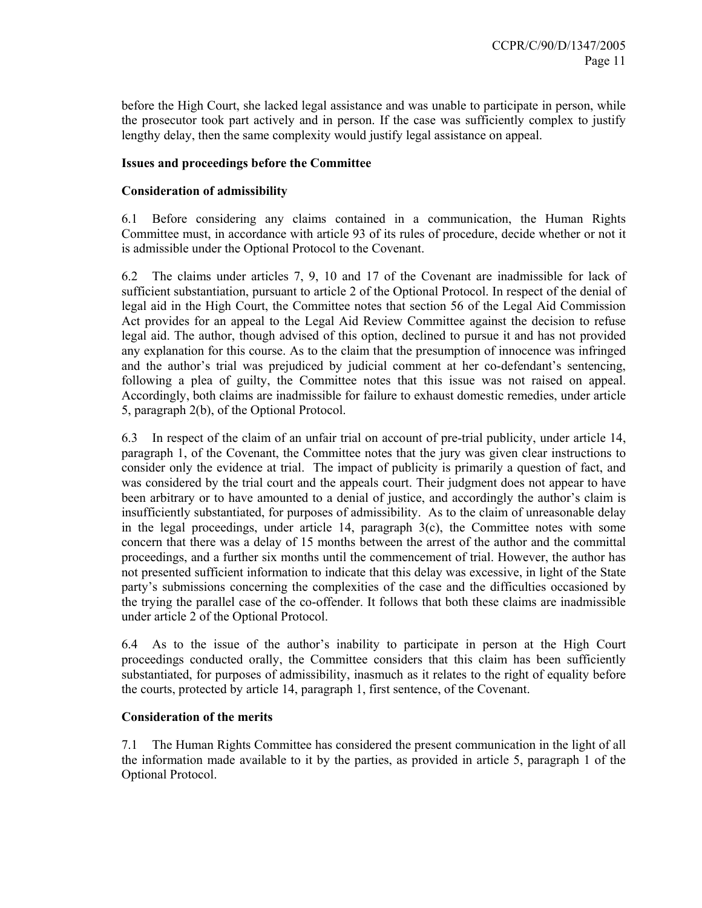before the High Court, she lacked legal assistance and was unable to participate in person, while the prosecutor took part actively and in person. If the case was sufficiently complex to justify lengthy delay, then the same complexity would justify legal assistance on appeal.

### **Issues and proceedings before the Committee**

### **Consideration of admissibility**

6.1 Before considering any claims contained in a communication, the Human Rights Committee must, in accordance with article 93 of its rules of procedure, decide whether or not it is admissible under the Optional Protocol to the Covenant.

6.2 The claims under articles 7, 9, 10 and 17 of the Covenant are inadmissible for lack of sufficient substantiation, pursuant to article 2 of the Optional Protocol. In respect of the denial of legal aid in the High Court, the Committee notes that section 56 of the Legal Aid Commission Act provides for an appeal to the Legal Aid Review Committee against the decision to refuse legal aid. The author, though advised of this option, declined to pursue it and has not provided any explanation for this course. As to the claim that the presumption of innocence was infringed and the author's trial was prejudiced by judicial comment at her co-defendant's sentencing, following a plea of guilty, the Committee notes that this issue was not raised on appeal. Accordingly, both claims are inadmissible for failure to exhaust domestic remedies, under article 5, paragraph 2(b), of the Optional Protocol.

6.3 In respect of the claim of an unfair trial on account of pre-trial publicity, under article 14, paragraph 1, of the Covenant, the Committee notes that the jury was given clear instructions to consider only the evidence at trial. The impact of publicity is primarily a question of fact, and was considered by the trial court and the appeals court. Their judgment does not appear to have been arbitrary or to have amounted to a denial of justice, and accordingly the author's claim is insufficiently substantiated, for purposes of admissibility. As to the claim of unreasonable delay in the legal proceedings, under article 14, paragraph  $3(c)$ , the Committee notes with some concern that there was a delay of 15 months between the arrest of the author and the committal proceedings, and a further six months until the commencement of trial. However, the author has not presented sufficient information to indicate that this delay was excessive, in light of the State party's submissions concerning the complexities of the case and the difficulties occasioned by the trying the parallel case of the co-offender. It follows that both these claims are inadmissible under article 2 of the Optional Protocol.

6.4 As to the issue of the author's inability to participate in person at the High Court proceedings conducted orally, the Committee considers that this claim has been sufficiently substantiated, for purposes of admissibility, inasmuch as it relates to the right of equality before the courts, protected by article 14, paragraph 1, first sentence, of the Covenant.

#### **Consideration of the merits**

7.1 The Human Rights Committee has considered the present communication in the light of all the information made available to it by the parties, as provided in article 5, paragraph 1 of the Optional Protocol.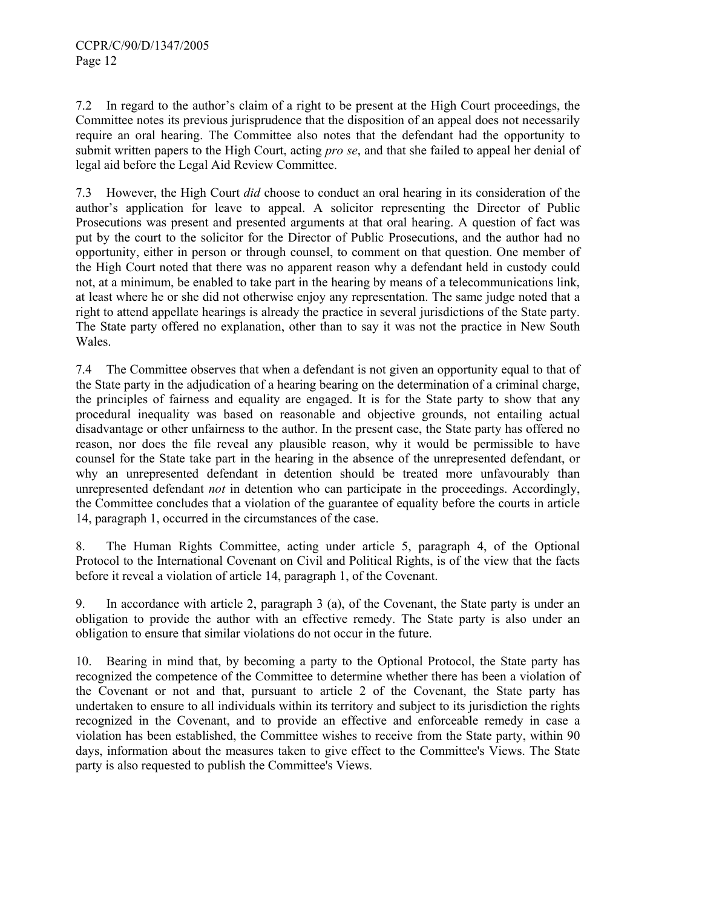7.2 In regard to the author's claim of a right to be present at the High Court proceedings, the Committee notes its previous jurisprudence that the disposition of an appeal does not necessarily require an oral hearing. The Committee also notes that the defendant had the opportunity to submit written papers to the High Court, acting *pro se*, and that she failed to appeal her denial of legal aid before the Legal Aid Review Committee.

7.3 However, the High Court *did* choose to conduct an oral hearing in its consideration of the author's application for leave to appeal. A solicitor representing the Director of Public Prosecutions was present and presented arguments at that oral hearing. A question of fact was put by the court to the solicitor for the Director of Public Prosecutions, and the author had no opportunity, either in person or through counsel, to comment on that question. One member of the High Court noted that there was no apparent reason why a defendant held in custody could not, at a minimum, be enabled to take part in the hearing by means of a telecommunications link, at least where he or she did not otherwise enjoy any representation. The same judge noted that a right to attend appellate hearings is already the practice in several jurisdictions of the State party. The State party offered no explanation, other than to say it was not the practice in New South Wales.

7.4 The Committee observes that when a defendant is not given an opportunity equal to that of the State party in the adjudication of a hearing bearing on the determination of a criminal charge, the principles of fairness and equality are engaged. It is for the State party to show that any procedural inequality was based on reasonable and objective grounds, not entailing actual disadvantage or other unfairness to the author. In the present case, the State party has offered no reason, nor does the file reveal any plausible reason, why it would be permissible to have counsel for the State take part in the hearing in the absence of the unrepresented defendant, or why an unrepresented defendant in detention should be treated more unfavourably than unrepresented defendant *not* in detention who can participate in the proceedings. Accordingly, the Committee concludes that a violation of the guarantee of equality before the courts in article 14, paragraph 1, occurred in the circumstances of the case.

8. The Human Rights Committee, acting under article 5, paragraph 4, of the Optional Protocol to the International Covenant on Civil and Political Rights, is of the view that the facts before it reveal a violation of article 14, paragraph 1, of the Covenant.

9. In accordance with article 2, paragraph 3 (a), of the Covenant, the State party is under an obligation to provide the author with an effective remedy. The State party is also under an obligation to ensure that similar violations do not occur in the future.

10. Bearing in mind that, by becoming a party to the Optional Protocol, the State party has recognized the competence of the Committee to determine whether there has been a violation of the Covenant or not and that, pursuant to article 2 of the Covenant, the State party has undertaken to ensure to all individuals within its territory and subject to its jurisdiction the rights recognized in the Covenant, and to provide an effective and enforceable remedy in case a violation has been established, the Committee wishes to receive from the State party, within 90 days, information about the measures taken to give effect to the Committee's Views. The State party is also requested to publish the Committee's Views.